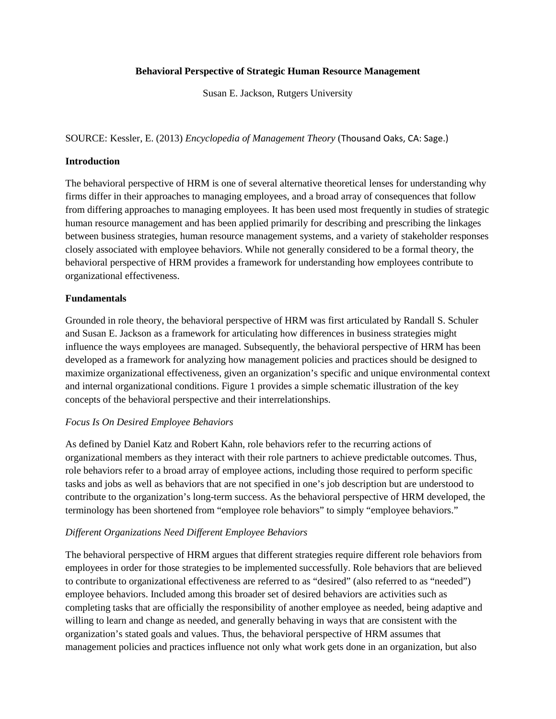### **Behavioral Perspective of Strategic Human Resource Management**

Susan E. Jackson, Rutgers University

SOURCE: Kessler, E. (2013) *Encyclopedia of Management Theory* (Thousand Oaks, CA: Sage.)

### **Introduction**

The behavioral perspective of HRM is one of several alternative theoretical lenses for understanding why firms differ in their approaches to managing employees, and a broad array of consequences that follow from differing approaches to managing employees. It has been used most frequently in studies of strategic human resource management and has been applied primarily for describing and prescribing the linkages between business strategies, human resource management systems, and a variety of stakeholder responses closely associated with employee behaviors. While not generally considered to be a formal theory, the behavioral perspective of HRM provides a framework for understanding how employees contribute to organizational effectiveness.

## **Fundamentals**

Grounded in role theory, the behavioral perspective of HRM was first articulated by Randall S. Schuler and Susan E. Jackson as a framework for articulating how differences in business strategies might influence the ways employees are managed. Subsequently, the behavioral perspective of HRM has been developed as a framework for analyzing how management policies and practices should be designed to maximize organizational effectiveness, given an organization's specific and unique environmental context and internal organizational conditions. Figure 1 provides a simple schematic illustration of the key concepts of the behavioral perspective and their interrelationships.

### *Focus Is On Desired Employee Behaviors*

As defined by Daniel Katz and Robert Kahn, role behaviors refer to the recurring actions of organizational members as they interact with their role partners to achieve predictable outcomes. Thus, role behaviors refer to a broad array of employee actions, including those required to perform specific tasks and jobs as well as behaviors that are not specified in one's job description but are understood to contribute to the organization's long-term success. As the behavioral perspective of HRM developed, the terminology has been shortened from "employee role behaviors" to simply "employee behaviors."

## *Different Organizations Need Different Employee Behaviors*

The behavioral perspective of HRM argues that different strategies require different role behaviors from employees in order for those strategies to be implemented successfully. Role behaviors that are believed to contribute to organizational effectiveness are referred to as "desired" (also referred to as "needed") employee behaviors. Included among this broader set of desired behaviors are activities such as completing tasks that are officially the responsibility of another employee as needed, being adaptive and willing to learn and change as needed, and generally behaving in ways that are consistent with the organization's stated goals and values. Thus, the behavioral perspective of HRM assumes that management policies and practices influence not only what work gets done in an organization, but also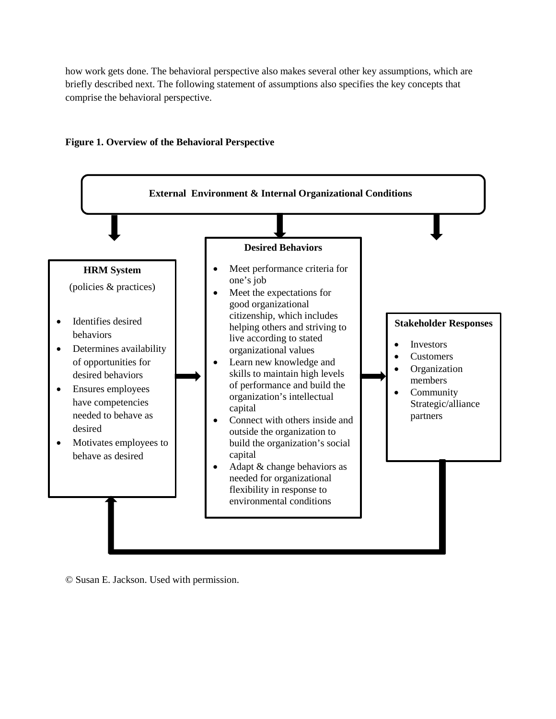how work gets done. The behavioral perspective also makes several other key assumptions, which are briefly described next. The following statement of assumptions also specifies the key concepts that comprise the behavioral perspective.



# **Figure 1. Overview of the Behavioral Perspective**

© Susan E. Jackson. Used with permission.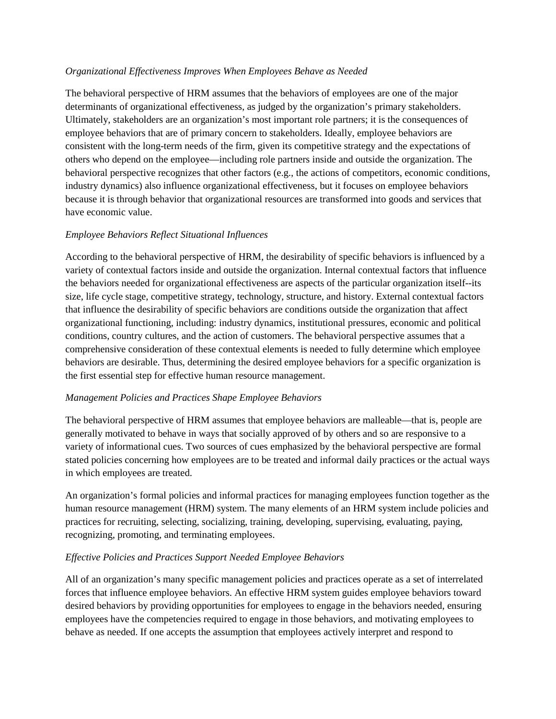### *Organizational Effectiveness Improves When Employees Behave as Needed*

The behavioral perspective of HRM assumes that the behaviors of employees are one of the major determinants of organizational effectiveness, as judged by the organization's primary stakeholders. Ultimately, stakeholders are an organization's most important role partners; it is the consequences of employee behaviors that are of primary concern to stakeholders. Ideally, employee behaviors are consistent with the long-term needs of the firm, given its competitive strategy and the expectations of others who depend on the employee—including role partners inside and outside the organization. The behavioral perspective recognizes that other factors (e.g., the actions of competitors, economic conditions, industry dynamics) also influence organizational effectiveness, but it focuses on employee behaviors because it is through behavior that organizational resources are transformed into goods and services that have economic value.

## *Employee Behaviors Reflect Situational Influences*

According to the behavioral perspective of HRM, the desirability of specific behaviors is influenced by a variety of contextual factors inside and outside the organization. Internal contextual factors that influence the behaviors needed for organizational effectiveness are aspects of the particular organization itself--its size, life cycle stage, competitive strategy, technology, structure, and history. External contextual factors that influence the desirability of specific behaviors are conditions outside the organization that affect organizational functioning, including: industry dynamics, institutional pressures, economic and political conditions, country cultures, and the action of customers. The behavioral perspective assumes that a comprehensive consideration of these contextual elements is needed to fully determine which employee behaviors are desirable. Thus, determining the desired employee behaviors for a specific organization is the first essential step for effective human resource management.

### *Management Policies and Practices Shape Employee Behaviors*

The behavioral perspective of HRM assumes that employee behaviors are malleable—that is, people are generally motivated to behave in ways that socially approved of by others and so are responsive to a variety of informational cues. Two sources of cues emphasized by the behavioral perspective are formal stated policies concerning how employees are to be treated and informal daily practices or the actual ways in which employees are treated.

An organization's formal policies and informal practices for managing employees function together as the human resource management (HRM) system. The many elements of an HRM system include policies and practices for recruiting, selecting, socializing, training, developing, supervising, evaluating, paying, recognizing, promoting, and terminating employees.

## *Effective Policies and Practices Support Needed Employee Behaviors*

All of an organization's many specific management policies and practices operate as a set of interrelated forces that influence employee behaviors. An effective HRM system guides employee behaviors toward desired behaviors by providing opportunities for employees to engage in the behaviors needed, ensuring employees have the competencies required to engage in those behaviors, and motivating employees to behave as needed. If one accepts the assumption that employees actively interpret and respond to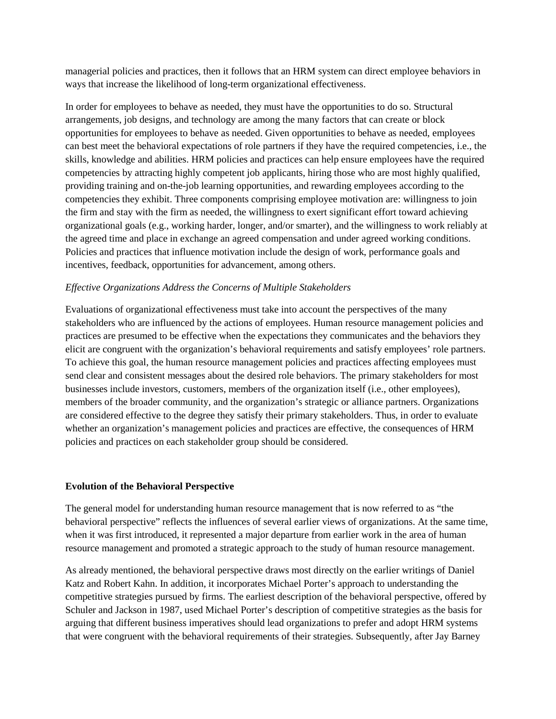managerial policies and practices, then it follows that an HRM system can direct employee behaviors in ways that increase the likelihood of long-term organizational effectiveness.

In order for employees to behave as needed, they must have the opportunities to do so. Structural arrangements, job designs, and technology are among the many factors that can create or block opportunities for employees to behave as needed. Given opportunities to behave as needed, employees can best meet the behavioral expectations of role partners if they have the required competencies, i.e., the skills, knowledge and abilities. HRM policies and practices can help ensure employees have the required competencies by attracting highly competent job applicants, hiring those who are most highly qualified, providing training and on-the-job learning opportunities, and rewarding employees according to the competencies they exhibit. Three components comprising employee motivation are: willingness to join the firm and stay with the firm as needed, the willingness to exert significant effort toward achieving organizational goals (e.g., working harder, longer, and/or smarter), and the willingness to work reliably at the agreed time and place in exchange an agreed compensation and under agreed working conditions. Policies and practices that influence motivation include the design of work, performance goals and incentives, feedback, opportunities for advancement, among others.

## *Effective Organizations Address the Concerns of Multiple Stakeholders*

Evaluations of organizational effectiveness must take into account the perspectives of the many stakeholders who are influenced by the actions of employees. Human resource management policies and practices are presumed to be effective when the expectations they communicates and the behaviors they elicit are congruent with the organization's behavioral requirements and satisfy employees' role partners. To achieve this goal, the human resource management policies and practices affecting employees must send clear and consistent messages about the desired role behaviors. The primary stakeholders for most businesses include investors, customers, members of the organization itself (i.e., other employees), members of the broader community, and the organization's strategic or alliance partners. Organizations are considered effective to the degree they satisfy their primary stakeholders. Thus, in order to evaluate whether an organization's management policies and practices are effective, the consequences of HRM policies and practices on each stakeholder group should be considered.

### **Evolution of the Behavioral Perspective**

The general model for understanding human resource management that is now referred to as "the behavioral perspective" reflects the influences of several earlier views of organizations. At the same time, when it was first introduced, it represented a major departure from earlier work in the area of human resource management and promoted a strategic approach to the study of human resource management.

As already mentioned, the behavioral perspective draws most directly on the earlier writings of Daniel Katz and Robert Kahn. In addition, it incorporates Michael Porter's approach to understanding the competitive strategies pursued by firms. The earliest description of the behavioral perspective, offered by Schuler and Jackson in 1987, used Michael Porter's description of competitive strategies as the basis for arguing that different business imperatives should lead organizations to prefer and adopt HRM systems that were congruent with the behavioral requirements of their strategies. Subsequently, after Jay Barney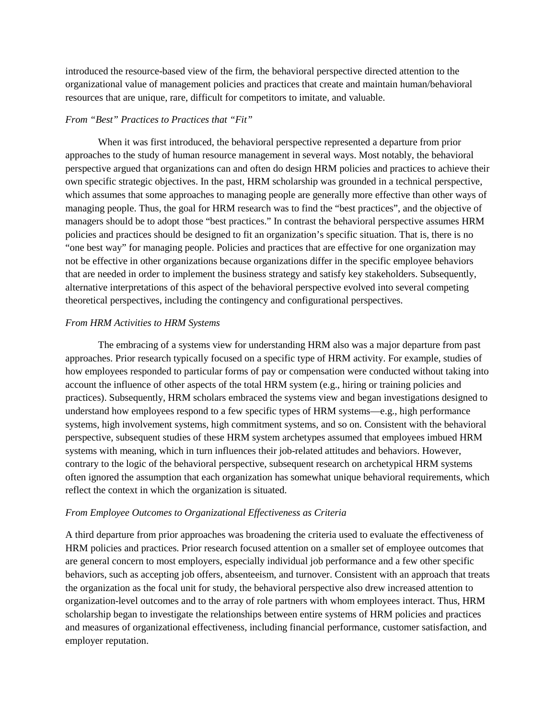introduced the resource-based view of the firm, the behavioral perspective directed attention to the organizational value of management policies and practices that create and maintain human/behavioral resources that are unique, rare, difficult for competitors to imitate, and valuable.

## *From "Best" Practices to Practices that "Fit"*

When it was first introduced, the behavioral perspective represented a departure from prior approaches to the study of human resource management in several ways. Most notably, the behavioral perspective argued that organizations can and often do design HRM policies and practices to achieve their own specific strategic objectives. In the past, HRM scholarship was grounded in a technical perspective, which assumes that some approaches to managing people are generally more effective than other ways of managing people. Thus, the goal for HRM research was to find the "best practices", and the objective of managers should be to adopt those "best practices." In contrast the behavioral perspective assumes HRM policies and practices should be designed to fit an organization's specific situation. That is, there is no "one best way" for managing people. Policies and practices that are effective for one organization may not be effective in other organizations because organizations differ in the specific employee behaviors that are needed in order to implement the business strategy and satisfy key stakeholders. Subsequently, alternative interpretations of this aspect of the behavioral perspective evolved into several competing theoretical perspectives, including the contingency and configurational perspectives.

### *From HRM Activities to HRM Systems*

The embracing of a systems view for understanding HRM also was a major departure from past approaches. Prior research typically focused on a specific type of HRM activity. For example, studies of how employees responded to particular forms of pay or compensation were conducted without taking into account the influence of other aspects of the total HRM system (e.g., hiring or training policies and practices). Subsequently, HRM scholars embraced the systems view and began investigations designed to understand how employees respond to a few specific types of HRM systems—e.g., high performance systems, high involvement systems, high commitment systems, and so on. Consistent with the behavioral perspective, subsequent studies of these HRM system archetypes assumed that employees imbued HRM systems with meaning, which in turn influences their job-related attitudes and behaviors. However, contrary to the logic of the behavioral perspective, subsequent research on archetypical HRM systems often ignored the assumption that each organization has somewhat unique behavioral requirements, which reflect the context in which the organization is situated.

### *From Employee Outcomes to Organizational Effectiveness as Criteria*

A third departure from prior approaches was broadening the criteria used to evaluate the effectiveness of HRM policies and practices. Prior research focused attention on a smaller set of employee outcomes that are general concern to most employers, especially individual job performance and a few other specific behaviors, such as accepting job offers, absenteeism, and turnover. Consistent with an approach that treats the organization as the focal unit for study, the behavioral perspective also drew increased attention to organization-level outcomes and to the array of role partners with whom employees interact. Thus, HRM scholarship began to investigate the relationships between entire systems of HRM policies and practices and measures of organizational effectiveness, including financial performance, customer satisfaction, and employer reputation.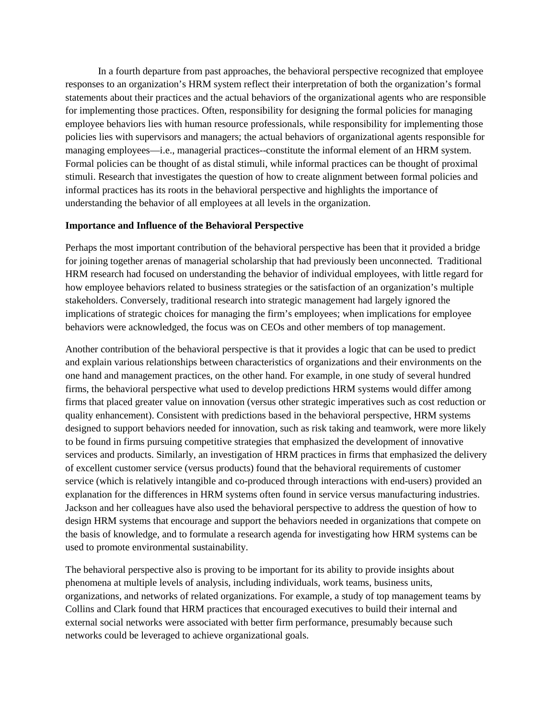In a fourth departure from past approaches, the behavioral perspective recognized that employee responses to an organization's HRM system reflect their interpretation of both the organization's formal statements about their practices and the actual behaviors of the organizational agents who are responsible for implementing those practices. Often, responsibility for designing the formal policies for managing employee behaviors lies with human resource professionals, while responsibility for implementing those policies lies with supervisors and managers; the actual behaviors of organizational agents responsible for managing employees—i.e., managerial practices--constitute the informal element of an HRM system. Formal policies can be thought of as distal stimuli, while informal practices can be thought of proximal stimuli. Research that investigates the question of how to create alignment between formal policies and informal practices has its roots in the behavioral perspective and highlights the importance of understanding the behavior of all employees at all levels in the organization.

#### **Importance and Influence of the Behavioral Perspective**

Perhaps the most important contribution of the behavioral perspective has been that it provided a bridge for joining together arenas of managerial scholarship that had previously been unconnected. Traditional HRM research had focused on understanding the behavior of individual employees, with little regard for how employee behaviors related to business strategies or the satisfaction of an organization's multiple stakeholders. Conversely, traditional research into strategic management had largely ignored the implications of strategic choices for managing the firm's employees; when implications for employee behaviors were acknowledged, the focus was on CEOs and other members of top management.

Another contribution of the behavioral perspective is that it provides a logic that can be used to predict and explain various relationships between characteristics of organizations and their environments on the one hand and management practices, on the other hand. For example, in one study of several hundred firms, the behavioral perspective what used to develop predictions HRM systems would differ among firms that placed greater value on innovation (versus other strategic imperatives such as cost reduction or quality enhancement). Consistent with predictions based in the behavioral perspective, HRM systems designed to support behaviors needed for innovation, such as risk taking and teamwork, were more likely to be found in firms pursuing competitive strategies that emphasized the development of innovative services and products. Similarly, an investigation of HRM practices in firms that emphasized the delivery of excellent customer service (versus products) found that the behavioral requirements of customer service (which is relatively intangible and co-produced through interactions with end-users) provided an explanation for the differences in HRM systems often found in service versus manufacturing industries. Jackson and her colleagues have also used the behavioral perspective to address the question of how to design HRM systems that encourage and support the behaviors needed in organizations that compete on the basis of knowledge, and to formulate a research agenda for investigating how HRM systems can be used to promote environmental sustainability.

The behavioral perspective also is proving to be important for its ability to provide insights about phenomena at multiple levels of analysis, including individuals, work teams, business units, organizations, and networks of related organizations. For example, a study of top management teams by Collins and Clark found that HRM practices that encouraged executives to build their internal and external social networks were associated with better firm performance, presumably because such networks could be leveraged to achieve organizational goals.